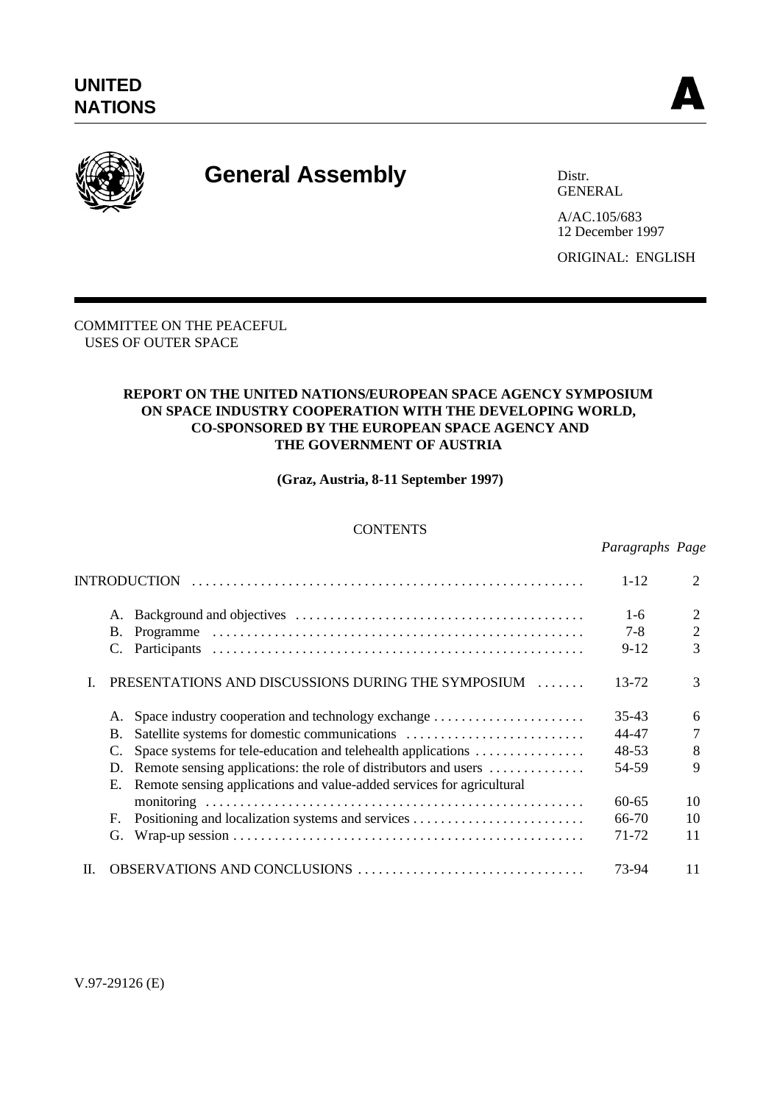

# **General Assembly** Distribution

GENERAL

A/AC.105/683 12 December 1997 ORIGINAL: ENGLISH

COMMITTEE ON THE PEACEFUL USES OF OUTER SPACE

#### **REPORT ON THE UNITED NATIONS/EUROPEAN SPACE AGENCY SYMPOSIUM ON SPACE INDUSTRY COOPERATION WITH THE DEVELOPING WORLD, CO-SPONSORED BY THE EUROPEAN SPACE AGENCY AND THE GOVERNMENT OF AUSTRIA**

**(Graz, Austria, 8-11 September 1997)**

# **CONTENTS**

#### *Paragraphs Page*

| <b>INTRODUCTION</b> |                                                                             |           | $\mathcal{D}_{\mathcal{L}}$ |
|---------------------|-----------------------------------------------------------------------------|-----------|-----------------------------|
|                     | А.                                                                          | $1 - 6$   | 2                           |
|                     | Β.                                                                          | $7 - 8$   | $\overline{2}$              |
|                     |                                                                             | $9 - 12$  | 3                           |
|                     | PRESENTATIONS AND DISCUSSIONS DURING THE SYMPOSIUM                          | 13-72     | 3                           |
|                     | Space industry cooperation and technology exchange                          | $35 - 43$ | 6                           |
|                     | Satellite systems for domestic communications<br>B.                         | 44-47     | 7                           |
|                     | Space systems for tele-education and telehealth applications                | 48-53     | 8                           |
|                     | Remote sensing applications: the role of distributors and users<br>D.       | 54-59     | 9                           |
|                     | Remote sensing applications and value-added services for agricultural<br>Е. |           |                             |
|                     |                                                                             | $60 - 65$ | 10                          |
|                     | F.                                                                          | 66-70     | 10                          |
|                     | G.                                                                          | 71-72     | 11                          |
| Н.                  |                                                                             | 73-94     | 11                          |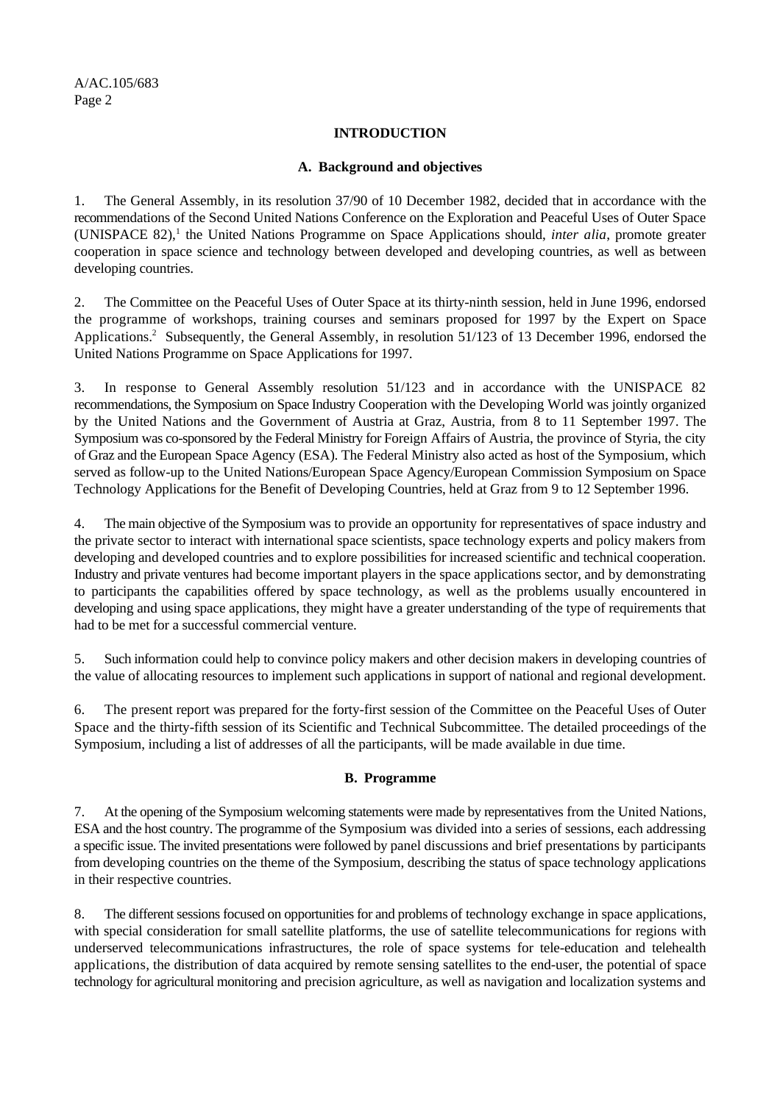#### **INTRODUCTION**

#### **A. Background and objectives**

1. The General Assembly, in its resolution 37/90 of 10 December 1982, decided that in accordance with the recommendations of the Second United Nations Conference on the Exploration and Peaceful Uses of Outer Space (UNISPACE 82),<sup>1</sup> the United Nations Programme on Space Applications should, *inter alia*, promote greater cooperation in space science and technology between developed and developing countries, as well as between developing countries.

2. The Committee on the Peaceful Uses of Outer Space at its thirty-ninth session, held in June 1996, endorsed the programme of workshops, training courses and seminars proposed for 1997 by the Expert on Space Applications.<sup>2</sup> Subsequently, the General Assembly, in resolution 51/123 of 13 December 1996, endorsed the United Nations Programme on Space Applications for 1997.

3. In response to General Assembly resolution 51/123 and in accordance with the UNISPACE 82 recommendations, the Symposium on Space Industry Cooperation with the Developing World was jointly organized by the United Nations and the Government of Austria at Graz, Austria, from 8 to 11 September 1997. The Symposium was co-sponsored by the Federal Ministry for Foreign Affairs of Austria, the province of Styria, the city of Graz and the European Space Agency (ESA). The Federal Ministry also acted as host of the Symposium, which served as follow-up to the United Nations/European Space Agency/European Commission Symposium on Space Technology Applications for the Benefit of Developing Countries, held at Graz from 9 to 12 September 1996.

4. The main objective of the Symposium was to provide an opportunity for representatives of space industry and the private sector to interact with international space scientists, space technology experts and policy makers from developing and developed countries and to explore possibilities for increased scientific and technical cooperation. Industry and private ventures had become important players in the space applications sector, and by demonstrating to participants the capabilities offered by space technology, as well as the problems usually encountered in developing and using space applications, they might have a greater understanding of the type of requirements that had to be met for a successful commercial venture.

5. Such information could help to convince policy makers and other decision makers in developing countries of the value of allocating resources to implement such applications in support of national and regional development.

6. The present report was prepared for the forty-first session of the Committee on the Peaceful Uses of Outer Space and the thirty-fifth session of its Scientific and Technical Subcommittee. The detailed proceedings of the Symposium, including a list of addresses of all the participants, will be made available in due time.

# **B. Programme**

7. At the opening of the Symposium welcoming statements were made by representatives from the United Nations, ESA and the host country. The programme of the Symposium was divided into a series of sessions, each addressing a specific issue. The invited presentations were followed by panel discussions and brief presentations by participants from developing countries on the theme of the Symposium, describing the status of space technology applications in their respective countries.

8. The different sessions focused on opportunities for and problems of technology exchange in space applications, with special consideration for small satellite platforms, the use of satellite telecommunications for regions with underserved telecommunications infrastructures, the role of space systems for tele-education and telehealth applications, the distribution of data acquired by remote sensing satellites to the end-user, the potential of space technology for agricultural monitoring and precision agriculture, as well as navigation and localization systems and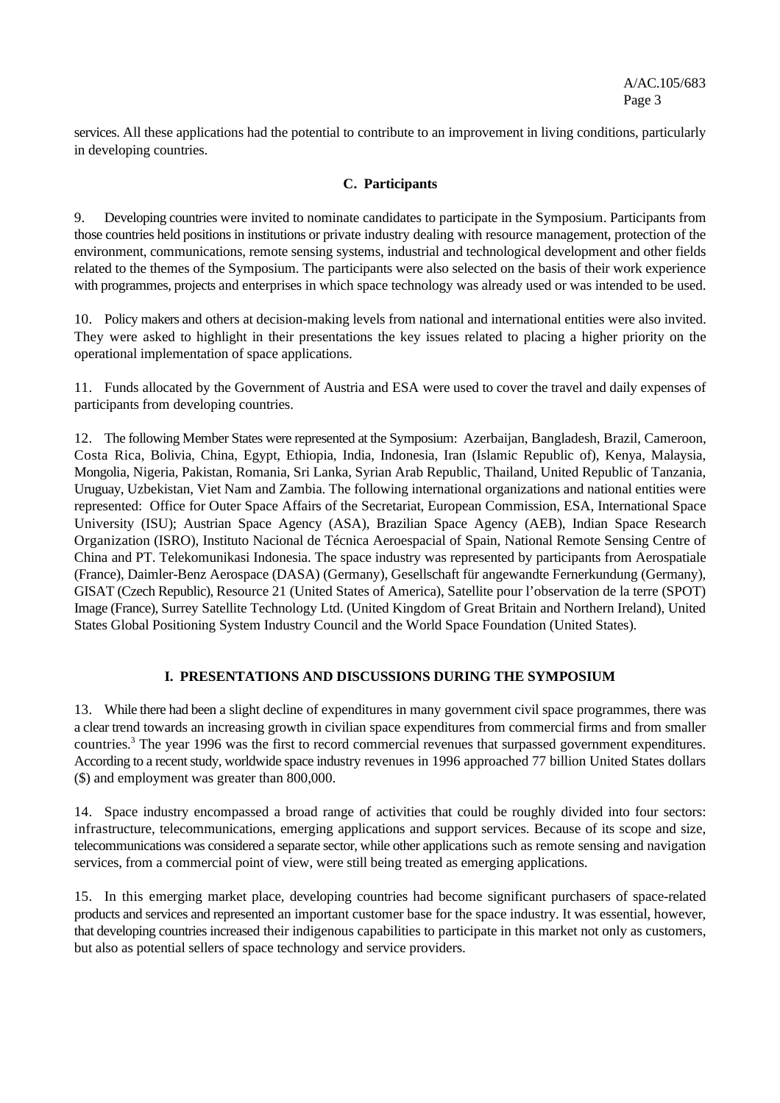services. All these applications had the potential to contribute to an improvement in living conditions, particularly in developing countries.

# **C. Participants**

9. Developing countries were invited to nominate candidates to participate in the Symposium. Participants from those countries held positions in institutions or private industry dealing with resource management, protection of the environment, communications, remote sensing systems, industrial and technological development and other fields related to the themes of the Symposium. The participants were also selected on the basis of their work experience with programmes, projects and enterprises in which space technology was already used or was intended to be used.

10. Policy makers and others at decision-making levels from national and international entities were also invited. They were asked to highlight in their presentations the key issues related to placing a higher priority on the operational implementation of space applications.

11. Funds allocated by the Government of Austria and ESA were used to cover the travel and daily expenses of participants from developing countries.

12. The following Member States were represented at the Symposium: Azerbaijan, Bangladesh, Brazil, Cameroon, Costa Rica, Bolivia, China, Egypt, Ethiopia, India, Indonesia, Iran (Islamic Republic of), Kenya, Malaysia, Mongolia, Nigeria, Pakistan, Romania, Sri Lanka, Syrian Arab Republic, Thailand, United Republic of Tanzania, Uruguay, Uzbekistan, Viet Nam and Zambia. The following international organizations and national entities were represented: Office for Outer Space Affairs of the Secretariat, European Commission, ESA, International Space University (ISU); Austrian Space Agency (ASA), Brazilian Space Agency (AEB), Indian Space Research Organization (ISRO), Instituto Nacional de Técnica Aeroespacial of Spain, National Remote Sensing Centre of China and PT. Telekomunikasi Indonesia. The space industry was represented by participants from Aerospatiale (France), Daimler-Benz Aerospace (DASA) (Germany), Gesellschaft für angewandte Fernerkundung (Germany), GISAT (Czech Republic), Resource 21 (United States of America), Satellite pour l'observation de la terre (SPOT) Image (France), Surrey Satellite Technology Ltd. (United Kingdom of Great Britain and Northern Ireland), United States Global Positioning System Industry Council and the World Space Foundation (United States).

# **I. PRESENTATIONS AND DISCUSSIONS DURING THE SYMPOSIUM**

13. While there had been a slight decline of expenditures in many government civil space programmes, there was a clear trend towards an increasing growth in civilian space expenditures from commercial firms and from smaller countries.<sup>3</sup> The year 1996 was the first to record commercial revenues that surpassed government expenditures. According to a recent study, worldwide space industry revenues in 1996 approached 77 billion United States dollars (\$) and employment was greater than 800,000.

14. Space industry encompassed a broad range of activities that could be roughly divided into four sectors: infrastructure, telecommunications, emerging applications and support services. Because of its scope and size, telecommunications was considered a separate sector, while other applications such as remote sensing and navigation services, from a commercial point of view, were still being treated as emerging applications.

15. In this emerging market place, developing countries had become significant purchasers of space-related products and services and represented an important customer base for the space industry. It was essential, however, that developing countries increased their indigenous capabilities to participate in this market not only as customers, but also as potential sellers of space technology and service providers.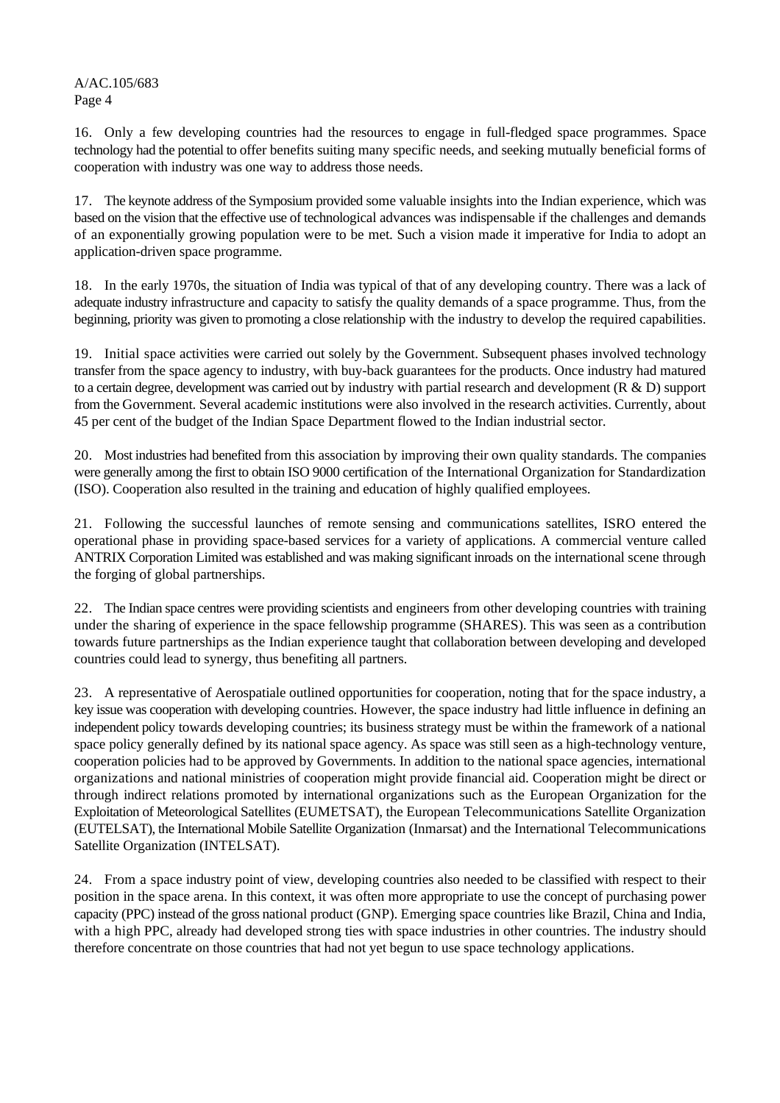16. Only a few developing countries had the resources to engage in full-fledged space programmes. Space technology had the potential to offer benefits suiting many specific needs, and seeking mutually beneficial forms of cooperation with industry was one way to address those needs.

17. The keynote address of the Symposium provided some valuable insights into the Indian experience, which was based on the vision that the effective use of technological advances was indispensable if the challenges and demands of an exponentially growing population were to be met. Such a vision made it imperative for India to adopt an application-driven space programme.

18. In the early 1970s, the situation of India was typical of that of any developing country. There was a lack of adequate industry infrastructure and capacity to satisfy the quality demands of a space programme. Thus, from the beginning, priority was given to promoting a close relationship with the industry to develop the required capabilities.

19. Initial space activities were carried out solely by the Government. Subsequent phases involved technology transfer from the space agency to industry, with buy-back guarantees for the products. Once industry had matured to a certain degree, development was carried out by industry with partial research and development  $(R & D)$  support from the Government. Several academic institutions were also involved in the research activities. Currently, about 45 per cent of the budget of the Indian Space Department flowed to the Indian industrial sector.

20. Most industries had benefited from this association by improving their own quality standards. The companies were generally among the first to obtain ISO 9000 certification of the International Organization for Standardization (ISO). Cooperation also resulted in the training and education of highly qualified employees.

21. Following the successful launches of remote sensing and communications satellites, ISRO entered the operational phase in providing space-based services for a variety of applications. A commercial venture called ANTRIX Corporation Limited was established and was making significant inroads on the international scene through the forging of global partnerships.

22. The Indian space centres were providing scientists and engineers from other developing countries with training under the sharing of experience in the space fellowship programme (SHARES). This was seen as a contribution towards future partnerships as the Indian experience taught that collaboration between developing and developed countries could lead to synergy, thus benefiting all partners.

23. A representative of Aerospatiale outlined opportunities for cooperation, noting that for the space industry, a key issue was cooperation with developing countries. However, the space industry had little influence in defining an independent policy towards developing countries; its business strategy must be within the framework of a national space policy generally defined by its national space agency. As space was still seen as a high-technology venture, cooperation policies had to be approved by Governments. In addition to the national space agencies, international organizations and national ministries of cooperation might provide financial aid. Cooperation might be direct or through indirect relations promoted by international organizations such as the European Organization for the Exploitation of Meteorological Satellites (EUMETSAT), the European Telecommunications Satellite Organization (EUTELSAT), the International Mobile Satellite Organization (Inmarsat) and the International Telecommunications Satellite Organization (INTELSAT).

24. From a space industry point of view, developing countries also needed to be classified with respect to their position in the space arena. In this context, it was often more appropriate to use the concept of purchasing power capacity (PPC) instead of the gross national product (GNP). Emerging space countries like Brazil, China and India, with a high PPC, already had developed strong ties with space industries in other countries. The industry should therefore concentrate on those countries that had not yet begun to use space technology applications.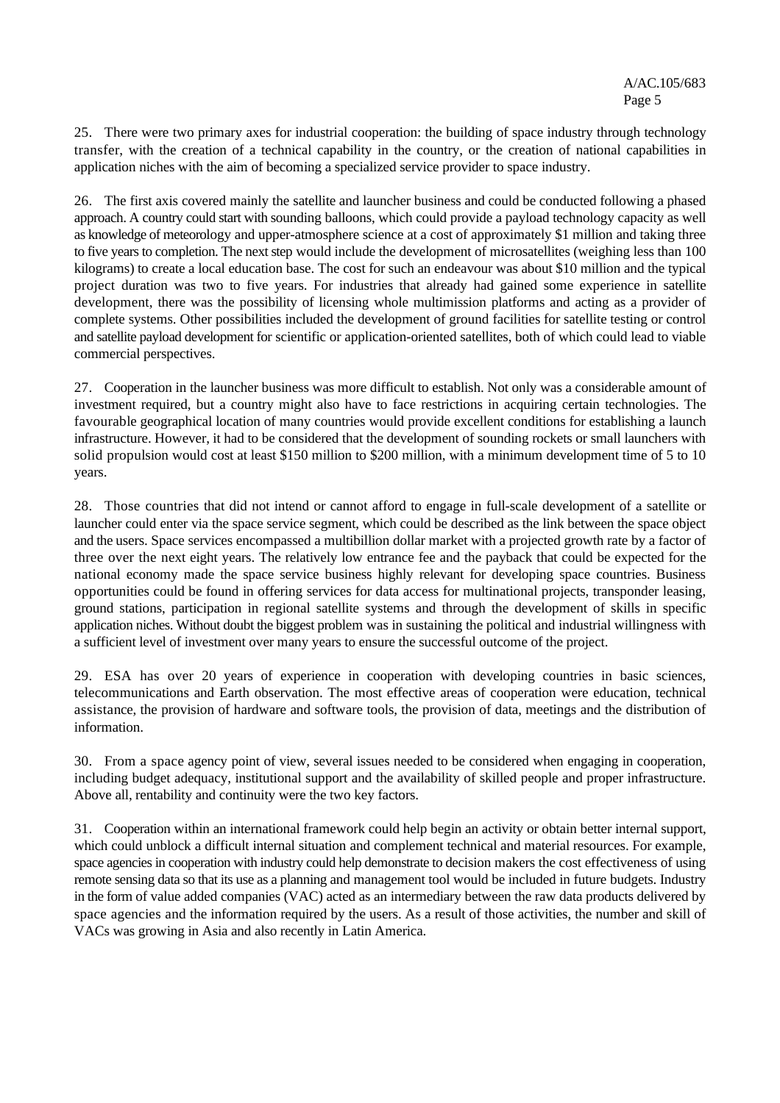25. There were two primary axes for industrial cooperation: the building of space industry through technology transfer, with the creation of a technical capability in the country, or the creation of national capabilities in application niches with the aim of becoming a specialized service provider to space industry.

26. The first axis covered mainly the satellite and launcher business and could be conducted following a phased approach. A country could start with sounding balloons, which could provide a payload technology capacity as well as knowledge of meteorology and upper-atmosphere science at a cost of approximately \$1 million and taking three to five years to completion. The next step would include the development of microsatellites (weighing less than 100 kilograms) to create a local education base. The cost for such an endeavour was about \$10 million and the typical project duration was two to five years. For industries that already had gained some experience in satellite development, there was the possibility of licensing whole multimission platforms and acting as a provider of complete systems. Other possibilities included the development of ground facilities for satellite testing or control and satellite payload development for scientific or application-oriented satellites, both of which could lead to viable commercial perspectives.

27. Cooperation in the launcher business was more difficult to establish. Not only was a considerable amount of investment required, but a country might also have to face restrictions in acquiring certain technologies. The favourable geographical location of many countries would provide excellent conditions for establishing a launch infrastructure. However, it had to be considered that the development of sounding rockets or small launchers with solid propulsion would cost at least \$150 million to \$200 million, with a minimum development time of 5 to 10 years.

28. Those countries that did not intend or cannot afford to engage in full-scale development of a satellite or launcher could enter via the space service segment, which could be described as the link between the space object and the users. Space services encompassed a multibillion dollar market with a projected growth rate by a factor of three over the next eight years. The relatively low entrance fee and the payback that could be expected for the national economy made the space service business highly relevant for developing space countries. Business opportunities could be found in offering services for data access for multinational projects, transponder leasing, ground stations, participation in regional satellite systems and through the development of skills in specific application niches. Without doubt the biggest problem was in sustaining the political and industrial willingness with a sufficient level of investment over many years to ensure the successful outcome of the project.

29. ESA has over 20 years of experience in cooperation with developing countries in basic sciences, telecommunications and Earth observation. The most effective areas of cooperation were education, technical assistance, the provision of hardware and software tools, the provision of data, meetings and the distribution of information.

30. From a space agency point of view, several issues needed to be considered when engaging in cooperation, including budget adequacy, institutional support and the availability of skilled people and proper infrastructure. Above all, rentability and continuity were the two key factors.

31. Cooperation within an international framework could help begin an activity or obtain better internal support, which could unblock a difficult internal situation and complement technical and material resources. For example, space agencies in cooperation with industry could help demonstrate to decision makers the cost effectiveness of using remote sensing data so that its use as a planning and management tool would be included in future budgets. Industry in the form of value added companies (VAC) acted as an intermediary between the raw data products delivered by space agencies and the information required by the users. As a result of those activities, the number and skill of VACs was growing in Asia and also recently in Latin America.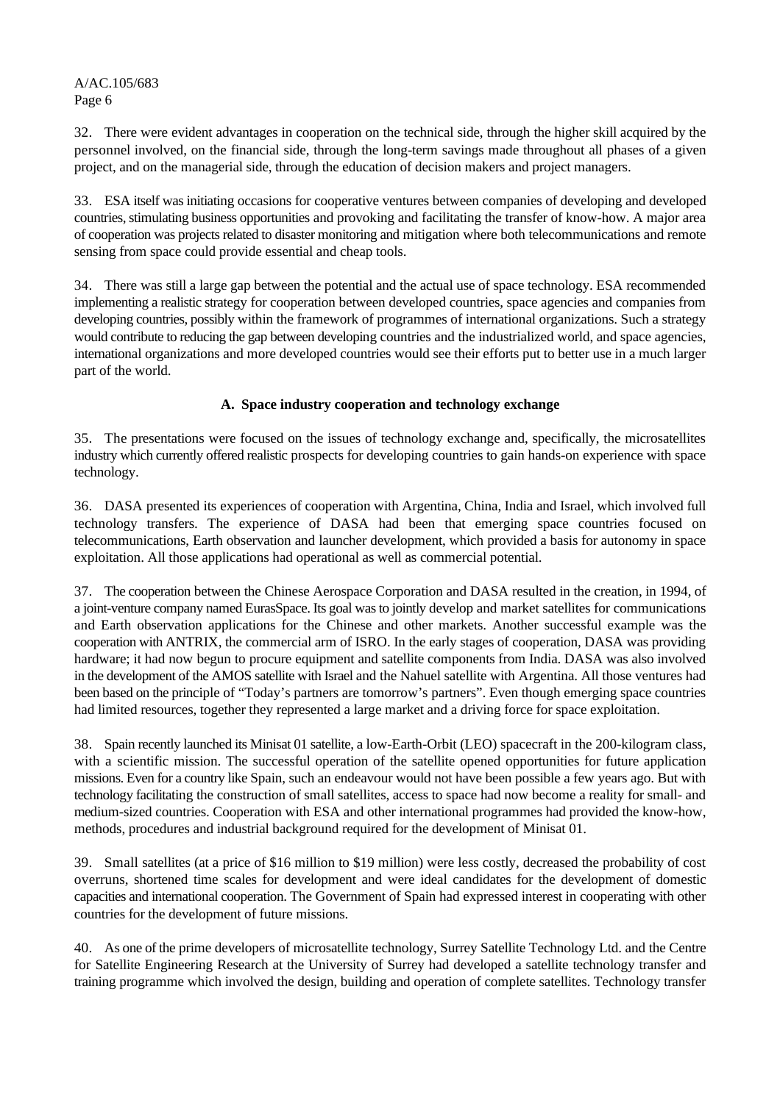32. There were evident advantages in cooperation on the technical side, through the higher skill acquired by the personnel involved, on the financial side, through the long-term savings made throughout all phases of a given project, and on the managerial side, through the education of decision makers and project managers.

33. ESA itself was initiating occasions for cooperative ventures between companies of developing and developed countries, stimulating business opportunities and provoking and facilitating the transfer of know-how. A major area of cooperation was projects related to disaster monitoring and mitigation where both telecommunications and remote sensing from space could provide essential and cheap tools.

34. There was still a large gap between the potential and the actual use of space technology. ESA recommended implementing a realistic strategy for cooperation between developed countries, space agencies and companies from developing countries, possibly within the framework of programmes of international organizations. Such a strategy would contribute to reducing the gap between developing countries and the industrialized world, and space agencies, international organizations and more developed countries would see their efforts put to better use in a much larger part of the world.

# **A. Space industry cooperation and technology exchange**

35. The presentations were focused on the issues of technology exchange and, specifically, the microsatellites industry which currently offered realistic prospects for developing countries to gain hands-on experience with space technology.

36. DASA presented its experiences of cooperation with Argentina, China, India and Israel, which involved full technology transfers. The experience of DASA had been that emerging space countries focused on telecommunications, Earth observation and launcher development, which provided a basis for autonomy in space exploitation. All those applications had operational as well as commercial potential.

37. The cooperation between the Chinese Aerospace Corporation and DASA resulted in the creation, in 1994, of a joint-venture company named EurasSpace. Its goal was to jointly develop and market satellites for communications and Earth observation applications for the Chinese and other markets. Another successful example was the cooperation with ANTRIX, the commercial arm of ISRO. In the early stages of cooperation, DASA was providing hardware; it had now begun to procure equipment and satellite components from India. DASA was also involved in the development of the AMOS satellite with Israel and the Nahuel satellite with Argentina. All those ventures had been based on the principle of "Today's partners are tomorrow's partners". Even though emerging space countries had limited resources, together they represented a large market and a driving force for space exploitation.

38. Spain recently launched its Minisat 01 satellite, a low-Earth-Orbit (LEO) spacecraft in the 200-kilogram class, with a scientific mission. The successful operation of the satellite opened opportunities for future application missions. Even for a country like Spain, such an endeavour would not have been possible a few years ago. But with technology facilitating the construction of small satellites, access to space had now become a reality for small- and medium-sized countries. Cooperation with ESA and other international programmes had provided the know-how, methods, procedures and industrial background required for the development of Minisat 01.

39. Small satellites (at a price of \$16 million to \$19 million) were less costly, decreased the probability of cost overruns, shortened time scales for development and were ideal candidates for the development of domestic capacities and international cooperation. The Government of Spain had expressed interest in cooperating with other countries for the development of future missions.

40. As one of the prime developers of microsatellite technology, Surrey Satellite Technology Ltd. and the Centre for Satellite Engineering Research at the University of Surrey had developed a satellite technology transfer and training programme which involved the design, building and operation of complete satellites. Technology transfer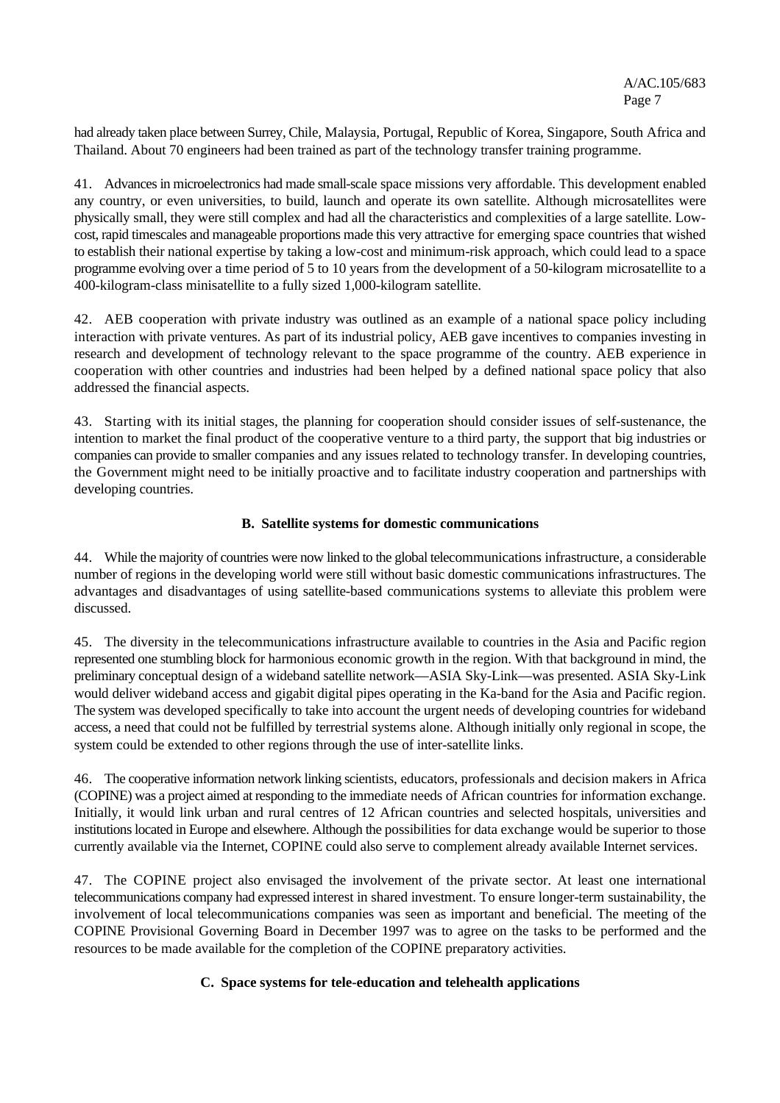had already taken place between Surrey, Chile, Malaysia, Portugal, Republic of Korea, Singapore, South Africa and Thailand. About 70 engineers had been trained as part of the technology transfer training programme.

41. Advances in microelectronics had made small-scale space missions very affordable. This development enabled any country, or even universities, to build, launch and operate its own satellite. Although microsatellites were physically small, they were still complex and had all the characteristics and complexities of a large satellite. Lowcost, rapid timescales and manageable proportions made this very attractive for emerging space countries that wished to establish their national expertise by taking a low-cost and minimum-risk approach, which could lead to a space programme evolving over a time period of 5 to 10 years from the development of a 50-kilogram microsatellite to a 400-kilogram-class minisatellite to a fully sized 1,000-kilogram satellite.

42. AEB cooperation with private industry was outlined as an example of a national space policy including interaction with private ventures. As part of its industrial policy, AEB gave incentives to companies investing in research and development of technology relevant to the space programme of the country. AEB experience in cooperation with other countries and industries had been helped by a defined national space policy that also addressed the financial aspects.

43. Starting with its initial stages, the planning for cooperation should consider issues of self-sustenance, the intention to market the final product of the cooperative venture to a third party, the support that big industries or companies can provide to smaller companies and any issues related to technology transfer. In developing countries, the Government might need to be initially proactive and to facilitate industry cooperation and partnerships with developing countries.

#### **B. Satellite systems for domestic communications**

44. While the majority of countries were now linked to the global telecommunications infrastructure, a considerable number of regions in the developing world were still without basic domestic communications infrastructures. The advantages and disadvantages of using satellite-based communications systems to alleviate this problem were discussed.

45. The diversity in the telecommunications infrastructure available to countries in the Asia and Pacific region represented one stumbling block for harmonious economic growth in the region. With that background in mind, the preliminary conceptual design of a wideband satellite network—ASIA Sky-Link—was presented. ASIA Sky-Link would deliver wideband access and gigabit digital pipes operating in the Ka-band for the Asia and Pacific region. The system was developed specifically to take into account the urgent needs of developing countries for wideband access, a need that could not be fulfilled by terrestrial systems alone. Although initially only regional in scope, the system could be extended to other regions through the use of inter-satellite links.

46. The cooperative information network linking scientists, educators, professionals and decision makers in Africa (COPINE) was a project aimed at responding to the immediate needs of African countries for information exchange. Initially, it would link urban and rural centres of 12 African countries and selected hospitals, universities and institutions located in Europe and elsewhere. Although the possibilities for data exchange would be superior to those currently available via the Internet, COPINE could also serve to complement already available Internet services.

47. The COPINE project also envisaged the involvement of the private sector. At least one international telecommunications company had expressed interest in shared investment. To ensure longer-term sustainability, the involvement of local telecommunications companies was seen as important and beneficial. The meeting of the COPINE Provisional Governing Board in December 1997 was to agree on the tasks to be performed and the resources to be made available for the completion of the COPINE preparatory activities.

# **C. Space systems for tele-education and telehealth applications**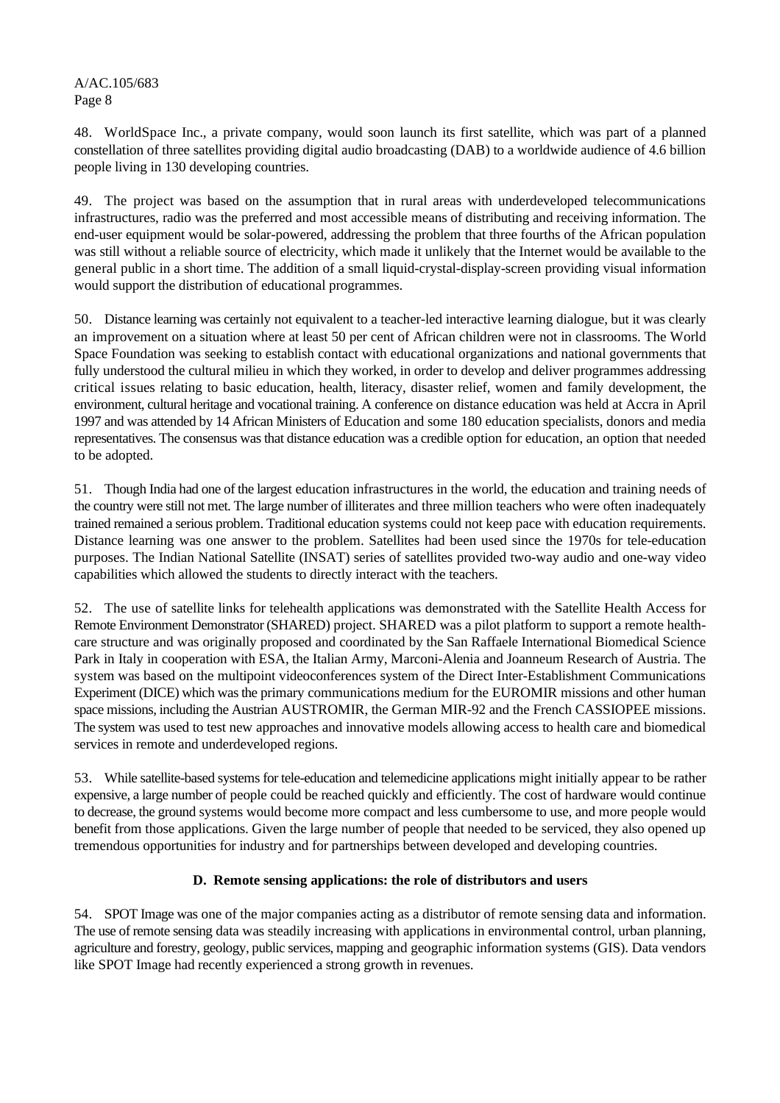48. WorldSpace Inc., a private company, would soon launch its first satellite, which was part of a planned constellation of three satellites providing digital audio broadcasting (DAB) to a worldwide audience of 4.6 billion people living in 130 developing countries.

49. The project was based on the assumption that in rural areas with underdeveloped telecommunications infrastructures, radio was the preferred and most accessible means of distributing and receiving information. The end-user equipment would be solar-powered, addressing the problem that three fourths of the African population was still without a reliable source of electricity, which made it unlikely that the Internet would be available to the general public in a short time. The addition of a small liquid-crystal-display-screen providing visual information would support the distribution of educational programmes.

50. Distance learning was certainly not equivalent to a teacher-led interactive learning dialogue, but it was clearly an improvement on a situation where at least 50 per cent of African children were not in classrooms. The World Space Foundation was seeking to establish contact with educational organizations and national governments that fully understood the cultural milieu in which they worked, in order to develop and deliver programmes addressing critical issues relating to basic education, health, literacy, disaster relief, women and family development, the environment, cultural heritage and vocational training. A conference on distance education was held at Accra in April 1997 and was attended by 14 African Ministers of Education and some 180 education specialists, donors and media representatives. The consensus was that distance education was a credible option for education, an option that needed to be adopted.

51. Though India had one of the largest education infrastructures in the world, the education and training needs of the country were still not met. The large number of illiterates and three million teachers who were often inadequately trained remained a serious problem. Traditional education systems could not keep pace with education requirements. Distance learning was one answer to the problem. Satellites had been used since the 1970s for tele-education purposes. The Indian National Satellite (INSAT) series of satellites provided two-way audio and one-way video capabilities which allowed the students to directly interact with the teachers.

52. The use of satellite links for telehealth applications was demonstrated with the Satellite Health Access for Remote Environment Demonstrator (SHARED) project. SHARED was a pilot platform to support a remote healthcare structure and was originally proposed and coordinated by the San Raffaele International Biomedical Science Park in Italy in cooperation with ESA, the Italian Army, Marconi-Alenia and Joanneum Research of Austria. The system was based on the multipoint videoconferences system of the Direct Inter-Establishment Communications Experiment (DICE) which was the primary communications medium for the EUROMIR missions and other human space missions, including the Austrian AUSTROMIR, the German MIR-92 and the French CASSIOPEE missions. The system was used to test new approaches and innovative models allowing access to health care and biomedical services in remote and underdeveloped regions.

53. While satellite-based systems for tele-education and telemedicine applications might initially appear to be rather expensive, a large number of people could be reached quickly and efficiently. The cost of hardware would continue to decrease, the ground systems would become more compact and less cumbersome to use, and more people would benefit from those applications. Given the large number of people that needed to be serviced, they also opened up tremendous opportunities for industry and for partnerships between developed and developing countries.

# **D. Remote sensing applications: the role of distributors and users**

54. SPOT Image was one of the major companies acting as a distributor of remote sensing data and information. The use of remote sensing data was steadily increasing with applications in environmental control, urban planning, agriculture and forestry, geology, public services, mapping and geographic information systems (GIS). Data vendors like SPOT Image had recently experienced a strong growth in revenues.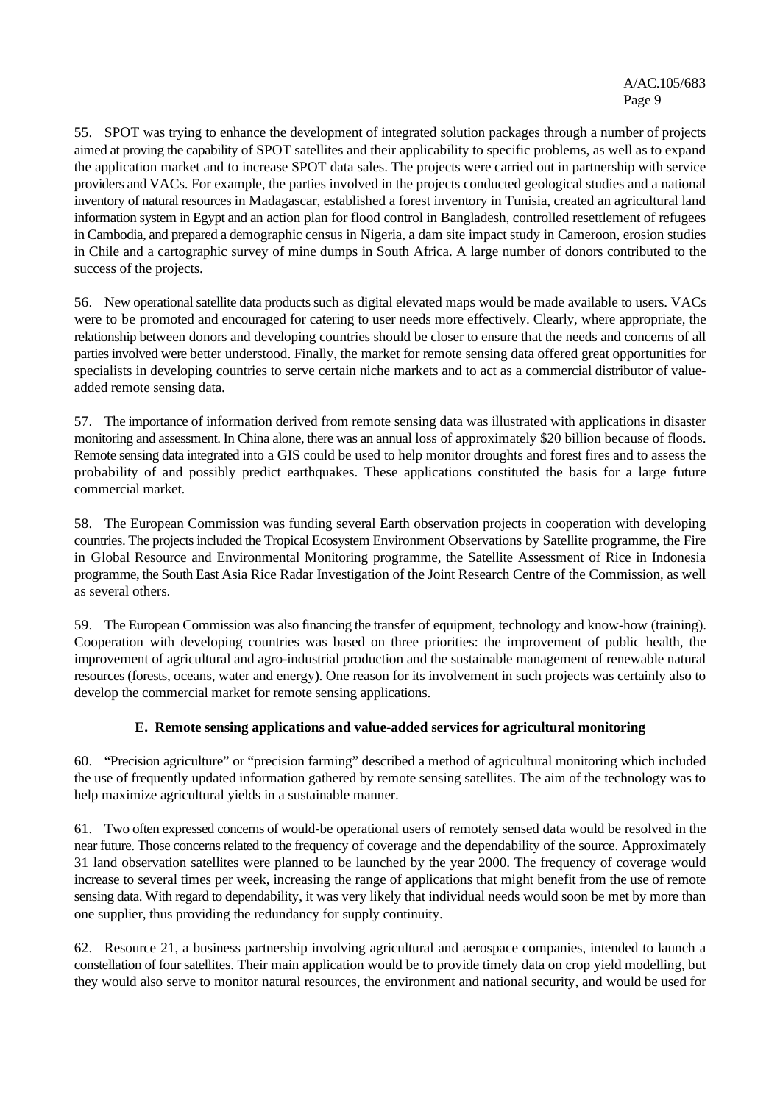55. SPOT was trying to enhance the development of integrated solution packages through a number of projects aimed at proving the capability of SPOT satellites and their applicability to specific problems, as well as to expand the application market and to increase SPOT data sales. The projects were carried out in partnership with service providers and VACs. For example, the parties involved in the projects conducted geological studies and a national inventory of natural resources in Madagascar, established a forest inventory in Tunisia, created an agricultural land information system in Egypt and an action plan for flood control in Bangladesh, controlled resettlement of refugees in Cambodia, and prepared a demographic census in Nigeria, a dam site impact study in Cameroon, erosion studies in Chile and a cartographic survey of mine dumps in South Africa. A large number of donors contributed to the success of the projects.

56. New operational satellite data products such as digital elevated maps would be made available to users. VACs were to be promoted and encouraged for catering to user needs more effectively. Clearly, where appropriate, the relationship between donors and developing countries should be closer to ensure that the needs and concerns of all parties involved were better understood. Finally, the market for remote sensing data offered great opportunities for specialists in developing countries to serve certain niche markets and to act as a commercial distributor of valueadded remote sensing data.

57. The importance of information derived from remote sensing data was illustrated with applications in disaster monitoring and assessment. In China alone, there was an annual loss of approximately \$20 billion because of floods. Remote sensing data integrated into a GIS could be used to help monitor droughts and forest fires and to assess the probability of and possibly predict earthquakes. These applications constituted the basis for a large future commercial market.

58. The European Commission was funding several Earth observation projects in cooperation with developing countries. The projects included the Tropical Ecosystem Environment Observations by Satellite programme, the Fire in Global Resource and Environmental Monitoring programme, the Satellite Assessment of Rice in Indonesia programme, the South East Asia Rice Radar Investigation of the Joint Research Centre of the Commission, as well as several others.

59. The European Commission was also financing the transfer of equipment, technology and know-how (training). Cooperation with developing countries was based on three priorities: the improvement of public health, the improvement of agricultural and agro-industrial production and the sustainable management of renewable natural resources (forests, oceans, water and energy). One reason for its involvement in such projects was certainly also to develop the commercial market for remote sensing applications.

# **E. Remote sensing applications and value-added services for agricultural monitoring**

60. "Precision agriculture" or "precision farming" described a method of agricultural monitoring which included the use of frequently updated information gathered by remote sensing satellites. The aim of the technology was to help maximize agricultural yields in a sustainable manner.

61. Two often expressed concerns of would-be operational users of remotely sensed data would be resolved in the near future. Those concerns related to the frequency of coverage and the dependability of the source. Approximately 31 land observation satellites were planned to be launched by the year 2000. The frequency of coverage would increase to several times per week, increasing the range of applications that might benefit from the use of remote sensing data. With regard to dependability, it was very likely that individual needs would soon be met by more than one supplier, thus providing the redundancy for supply continuity.

62. Resource 21, a business partnership involving agricultural and aerospace companies, intended to launch a constellation of four satellites. Their main application would be to provide timely data on crop yield modelling, but they would also serve to monitor natural resources, the environment and national security, and would be used for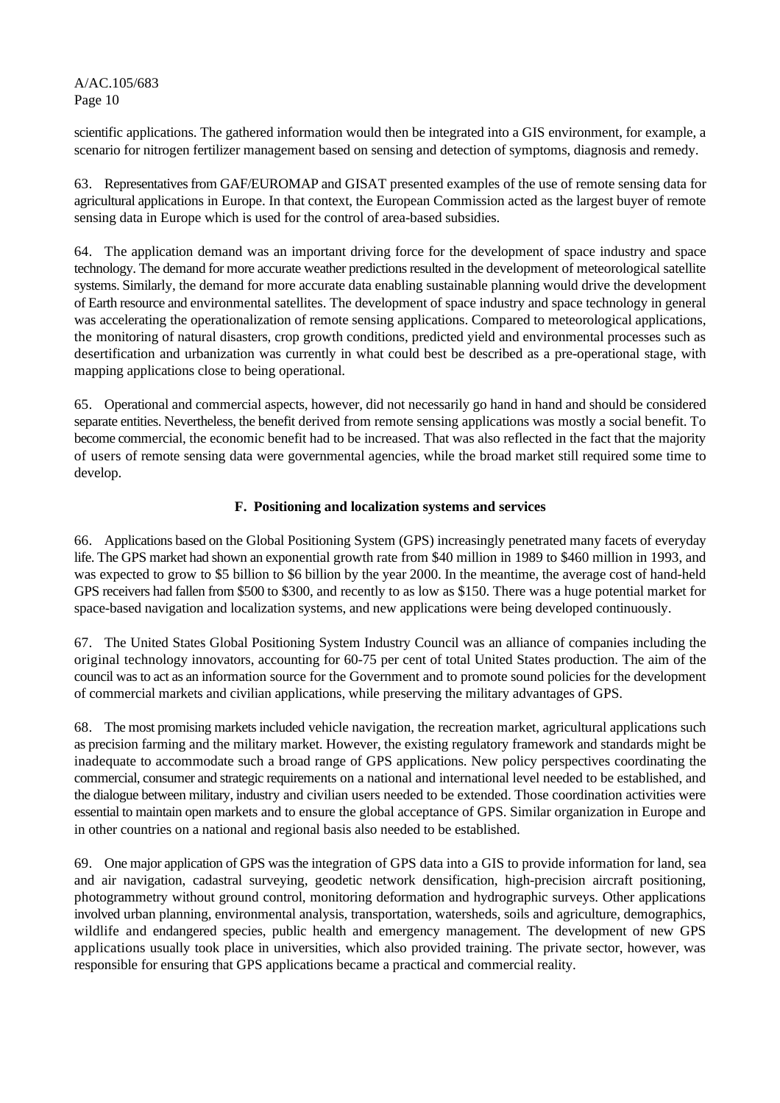scientific applications. The gathered information would then be integrated into a GIS environment, for example, a scenario for nitrogen fertilizer management based on sensing and detection of symptoms, diagnosis and remedy.

63. Representatives from GAF/EUROMAP and GISAT presented examples of the use of remote sensing data for agricultural applications in Europe. In that context, the European Commission acted as the largest buyer of remote sensing data in Europe which is used for the control of area-based subsidies.

64. The application demand was an important driving force for the development of space industry and space technology. The demand for more accurate weather predictions resulted in the development of meteorological satellite systems. Similarly, the demand for more accurate data enabling sustainable planning would drive the development of Earth resource and environmental satellites. The development of space industry and space technology in general was accelerating the operationalization of remote sensing applications. Compared to meteorological applications, the monitoring of natural disasters, crop growth conditions, predicted yield and environmental processes such as desertification and urbanization was currently in what could best be described as a pre-operational stage, with mapping applications close to being operational.

65. Operational and commercial aspects, however, did not necessarily go hand in hand and should be considered separate entities. Nevertheless, the benefit derived from remote sensing applications was mostly a social benefit. To become commercial, the economic benefit had to be increased. That was also reflected in the fact that the majority of users of remote sensing data were governmental agencies, while the broad market still required some time to develop.

#### **F. Positioning and localization systems and services**

66. Applications based on the Global Positioning System (GPS) increasingly penetrated many facets of everyday life. The GPS market had shown an exponential growth rate from \$40 million in 1989 to \$460 million in 1993, and was expected to grow to \$5 billion to \$6 billion by the year 2000. In the meantime, the average cost of hand-held GPS receivers had fallen from \$500 to \$300, and recently to as low as \$150. There was a huge potential market for space-based navigation and localization systems, and new applications were being developed continuously.

67. The United States Global Positioning System Industry Council was an alliance of companies including the original technology innovators, accounting for 60-75 per cent of total United States production. The aim of the council was to act as an information source for the Government and to promote sound policies for the development of commercial markets and civilian applications, while preserving the military advantages of GPS.

68. The most promising markets included vehicle navigation, the recreation market, agricultural applications such as precision farming and the military market. However, the existing regulatory framework and standards might be inadequate to accommodate such a broad range of GPS applications. New policy perspectives coordinating the commercial, consumer and strategic requirements on a national and international level needed to be established, and the dialogue between military, industry and civilian users needed to be extended. Those coordination activities were essential to maintain open markets and to ensure the global acceptance of GPS. Similar organization in Europe and in other countries on a national and regional basis also needed to be established.

69. One major application of GPS was the integration of GPS data into a GIS to provide information for land, sea and air navigation, cadastral surveying, geodetic network densification, high-precision aircraft positioning, photogrammetry without ground control, monitoring deformation and hydrographic surveys. Other applications involved urban planning, environmental analysis, transportation, watersheds, soils and agriculture, demographics, wildlife and endangered species, public health and emergency management. The development of new GPS applications usually took place in universities, which also provided training. The private sector, however, was responsible for ensuring that GPS applications became a practical and commercial reality.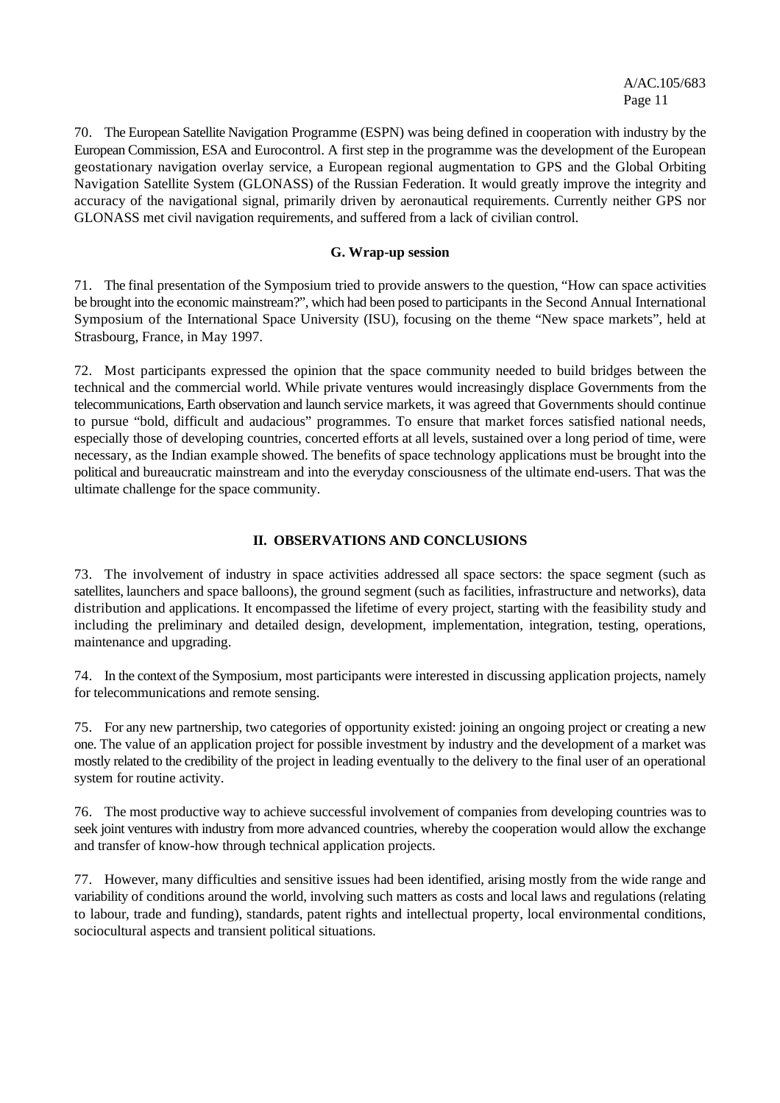70. The European Satellite Navigation Programme (ESPN) was being defined in cooperation with industry by the European Commission, ESA and Eurocontrol. A first step in the programme was the development of the European geostationary navigation overlay service, a European regional augmentation to GPS and the Global Orbiting Navigation Satellite System (GLONASS) of the Russian Federation. It would greatly improve the integrity and accuracy of the navigational signal, primarily driven by aeronautical requirements. Currently neither GPS nor GLONASS met civil navigation requirements, and suffered from a lack of civilian control.

#### **G. Wrap-up session**

71. The final presentation of the Symposium tried to provide answers to the question, "How can space activities be brought into the economic mainstream?", which had been posed to participants in the Second Annual International Symposium of the International Space University (ISU), focusing on the theme "New space markets", held at Strasbourg, France, in May 1997.

72. Most participants expressed the opinion that the space community needed to build bridges between the technical and the commercial world. While private ventures would increasingly displace Governments from the telecommunications, Earth observation and launch service markets, it was agreed that Governments should continue to pursue "bold, difficult and audacious" programmes. To ensure that market forces satisfied national needs, especially those of developing countries, concerted efforts at all levels, sustained over a long period of time, were necessary, as the Indian example showed. The benefits of space technology applications must be brought into the political and bureaucratic mainstream and into the everyday consciousness of the ultimate end-users. That was the ultimate challenge for the space community.

#### **II. OBSERVATIONS AND CONCLUSIONS**

73. The involvement of industry in space activities addressed all space sectors: the space segment (such as satellites, launchers and space balloons), the ground segment (such as facilities, infrastructure and networks), data distribution and applications. It encompassed the lifetime of every project, starting with the feasibility study and including the preliminary and detailed design, development, implementation, integration, testing, operations, maintenance and upgrading.

74. In the context of the Symposium, most participants were interested in discussing application projects, namely for telecommunications and remote sensing.

75. For any new partnership, two categories of opportunity existed: joining an ongoing project or creating a new one. The value of an application project for possible investment by industry and the development of a market was mostly related to the credibility of the project in leading eventually to the delivery to the final user of an operational system for routine activity.

76. The most productive way to achieve successful involvement of companies from developing countries was to seek joint ventures with industry from more advanced countries, whereby the cooperation would allow the exchange and transfer of know-how through technical application projects.

77. However, many difficulties and sensitive issues had been identified, arising mostly from the wide range and variability of conditions around the world, involving such matters as costs and local laws and regulations (relating to labour, trade and funding), standards, patent rights and intellectual property, local environmental conditions, sociocultural aspects and transient political situations.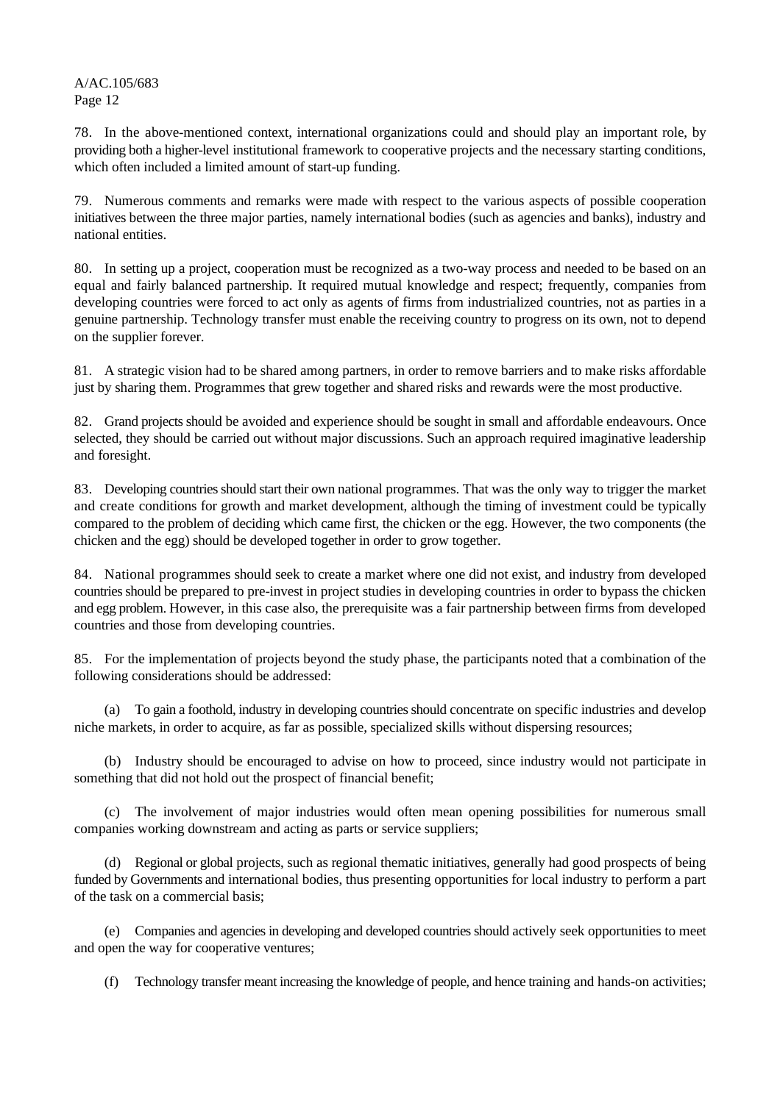78. In the above-mentioned context, international organizations could and should play an important role, by providing both a higher-level institutional framework to cooperative projects and the necessary starting conditions, which often included a limited amount of start-up funding.

79. Numerous comments and remarks were made with respect to the various aspects of possible cooperation initiatives between the three major parties, namely international bodies (such as agencies and banks), industry and national entities.

80. In setting up a project, cooperation must be recognized as a two-way process and needed to be based on an equal and fairly balanced partnership. It required mutual knowledge and respect; frequently, companies from developing countries were forced to act only as agents of firms from industrialized countries, not as parties in a genuine partnership. Technology transfer must enable the receiving country to progress on its own, not to depend on the supplier forever.

81. A strategic vision had to be shared among partners, in order to remove barriers and to make risks affordable just by sharing them. Programmes that grew together and shared risks and rewards were the most productive.

82. Grand projects should be avoided and experience should be sought in small and affordable endeavours. Once selected, they should be carried out without major discussions. Such an approach required imaginative leadership and foresight.

83. Developing countries should start their own national programmes. That was the only way to trigger the market and create conditions for growth and market development, although the timing of investment could be typically compared to the problem of deciding which came first, the chicken or the egg. However, the two components (the chicken and the egg) should be developed together in order to grow together.

84. National programmes should seek to create a market where one did not exist, and industry from developed countries should be prepared to pre-invest in project studies in developing countries in order to bypass the chicken and egg problem. However, in this case also, the prerequisite was a fair partnership between firms from developed countries and those from developing countries.

85. For the implementation of projects beyond the study phase, the participants noted that a combination of the following considerations should be addressed:

(a) To gain a foothold, industry in developing countries should concentrate on specific industries and develop niche markets, in order to acquire, as far as possible, specialized skills without dispersing resources;

(b) Industry should be encouraged to advise on how to proceed, since industry would not participate in something that did not hold out the prospect of financial benefit;

(c) The involvement of major industries would often mean opening possibilities for numerous small companies working downstream and acting as parts or service suppliers;

(d) Regional or global projects, such as regional thematic initiatives, generally had good prospects of being funded by Governments and international bodies, thus presenting opportunities for local industry to perform a part of the task on a commercial basis;

(e) Companies and agencies in developing and developed countries should actively seek opportunities to meet and open the way for cooperative ventures;

(f) Technology transfer meant increasing the knowledge of people, and hence training and hands-on activities;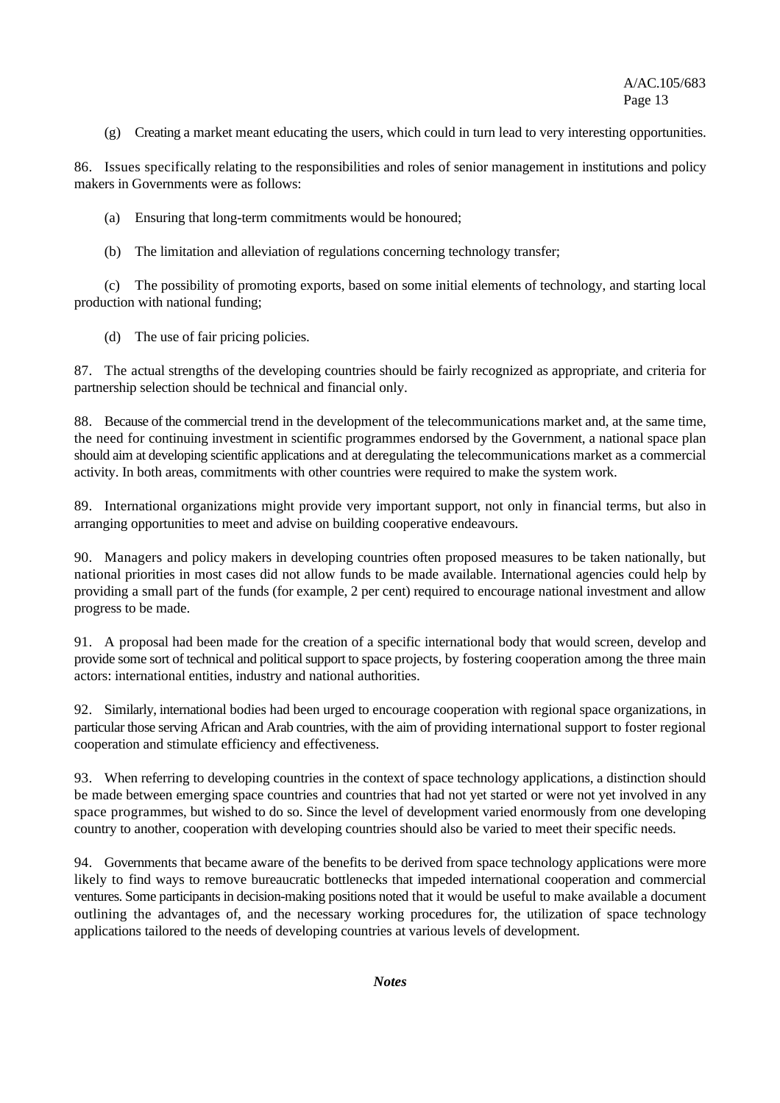(g) Creating a market meant educating the users, which could in turn lead to very interesting opportunities.

86. Issues specifically relating to the responsibilities and roles of senior management in institutions and policy makers in Governments were as follows:

(a) Ensuring that long-term commitments would be honoured;

(b) The limitation and alleviation of regulations concerning technology transfer;

(c) The possibility of promoting exports, based on some initial elements of technology, and starting local production with national funding;

(d) The use of fair pricing policies.

87. The actual strengths of the developing countries should be fairly recognized as appropriate, and criteria for partnership selection should be technical and financial only.

88. Because of the commercial trend in the development of the telecommunications market and, at the same time, the need for continuing investment in scientific programmes endorsed by the Government, a national space plan should aim at developing scientific applications and at deregulating the telecommunications market as a commercial activity. In both areas, commitments with other countries were required to make the system work.

89. International organizations might provide very important support, not only in financial terms, but also in arranging opportunities to meet and advise on building cooperative endeavours.

90. Managers and policy makers in developing countries often proposed measures to be taken nationally, but national priorities in most cases did not allow funds to be made available. International agencies could help by providing a small part of the funds (for example, 2 per cent) required to encourage national investment and allow progress to be made.

91. A proposal had been made for the creation of a specific international body that would screen, develop and provide some sort of technical and political support to space projects, by fostering cooperation among the three main actors: international entities, industry and national authorities.

92. Similarly, international bodies had been urged to encourage cooperation with regional space organizations, in particular those serving African and Arab countries, with the aim of providing international support to foster regional cooperation and stimulate efficiency and effectiveness.

93. When referring to developing countries in the context of space technology applications, a distinction should be made between emerging space countries and countries that had not yet started or were not yet involved in any space programmes, but wished to do so. Since the level of development varied enormously from one developing country to another, cooperation with developing countries should also be varied to meet their specific needs.

94. Governments that became aware of the benefits to be derived from space technology applications were more likely to find ways to remove bureaucratic bottlenecks that impeded international cooperation and commercial ventures. Some participants in decision-making positions noted that it would be useful to make available a document outlining the advantages of, and the necessary working procedures for, the utilization of space technology applications tailored to the needs of developing countries at various levels of development.